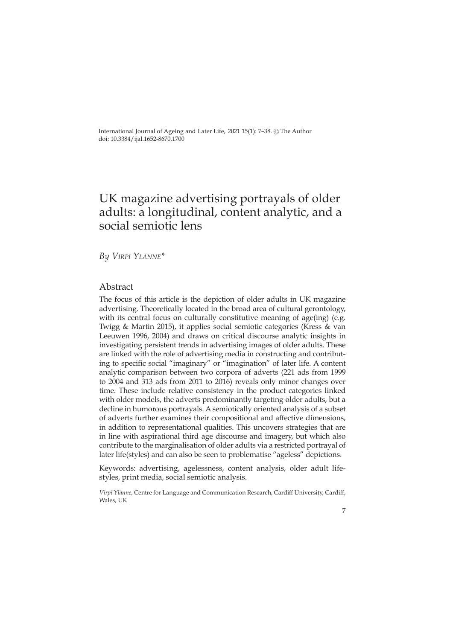International Journal of Ageing and Later Life, 2021 15(1): 7-38. © The Author doi: 10.3384/ijal.1652-8670.1700

# UK magazine advertising portrayals of older adults: a longitudinal, content analytic, and a social semiotic lens

*By Virpi Ylänne\**

## Abstract

The focus of this article is the depiction of older adults in UK magazine advertising. Theoretically located in the broad area of cultural gerontology, with its central focus on culturally constitutive meaning of age(ing) (e.g. Twigg & Martin 2015), it applies social semiotic categories (Kress & van Leeuwen 1996, 2004) and draws on critical discourse analytic insights in investigating persistent trends in advertising images of older adults. These are linked with the role of advertising media in constructing and contributing to specific social "imaginary" or "imagination" of later life. A content analytic comparison between two corpora of adverts (221 ads from 1999 to 2004 and 313 ads from 2011 to 2016) reveals only minor changes over time. These include relative consistency in the product categories linked with older models, the adverts predominantly targeting older adults, but a decline in humorous portrayals. A semiotically oriented analysis of a subset of adverts further examines their compositional and affective dimensions, in addition to representational qualities. This uncovers strategies that are in line with aspirational third age discourse and imagery, but which also contribute to the marginalisation of older adults via a restricted portrayal of later life(styles) and can also be seen to problematise "ageless" depictions.

Keywords: advertising, agelessness, content analysis, older adult lifestyles, print media, social semiotic analysis.

*Virpi Ylänne*, Centre for Language and Communication Research, Cardiff University, Cardiff, Wales, UK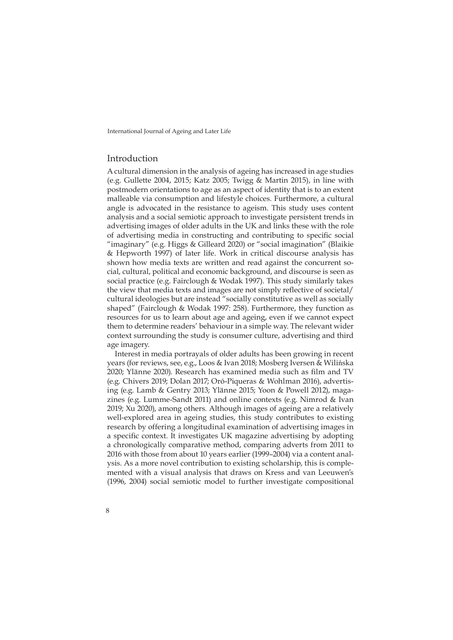## Introduction

8

A cultural dimension in the analysis of ageing has increased in age studies (e.g. Gullette 2004, 2015; Katz 2005; Twigg & Martin 2015), in line with postmodern orientations to age as an aspect of identity that is to an extent malleable via consumption and lifestyle choices. Furthermore, a cultural angle is advocated in the resistance to ageism. This study uses content analysis and a social semiotic approach to investigate persistent trends in advertising images of older adults in the UK and links these with the role of advertising media in constructing and contributing to specific social "imaginary" (e.g. Higgs & Gilleard 2020) or "social imagination" (Blaikie & Hepworth 1997) of later life. Work in critical discourse analysis has shown how media texts are written and read against the concurrent social, cultural, political and economic background, and discourse is seen as social practice (e.g. Fairclough & Wodak 1997). This study similarly takes the view that media texts and images are not simply reflective of societal/ cultural ideologies but are instead "socially constitutive as well as socially shaped" (Fairclough & Wodak 1997: 258). Furthermore, they function as resources for us to learn about age and ageing, even if we cannot expect them to determine readers' behaviour in a simple way. The relevant wider context surrounding the study is consumer culture, advertising and third age imagery.

Interest in media portrayals of older adults has been growing in recent years (for reviews, see, e.g., Loos & Ivan 2018; Mosberg Iversen & Wilińska 2020; Ylänne 2020). Research has examined media such as film and TV (e.g. Chivers 2019; Dolan 2017; Oró-Piqueras & Wohlman 2016), advertising (e.g. Lamb & Gentry 2013; Ylänne 2015; Yoon & Powell 2012), magazines (e.g. Lumme-Sandt 2011) and online contexts (e.g. Nimrod & Ivan 2019; Xu 2020), among others. Although images of ageing are a relatively well-explored area in ageing studies, this study contributes to existing research by offering a longitudinal examination of advertising images in a specific context. It investigates UK magazine advertising by adopting a chronologically comparative method, comparing adverts from 2011 to 2016 with those from about 10 years earlier (1999–2004) via a content analysis. As a more novel contribution to existing scholarship, this is complemented with a visual analysis that draws on Kress and van Leeuwen's (1996, 2004) social semiotic model to further investigate compositional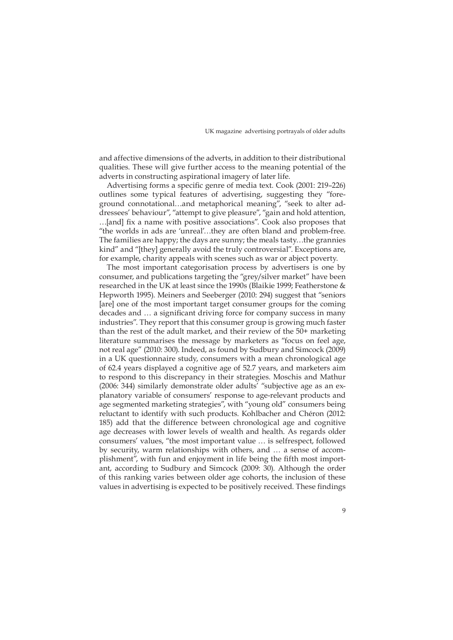and affective dimensions of the adverts, in addition to their distributional qualities. These will give further access to the meaning potential of the adverts in constructing aspirational imagery of later life.

Advertising forms a specific genre of media text. Cook (2001: 219–226) outlines some typical features of advertising, suggesting they "foreground connotational…and metaphorical meaning", "seek to alter addressees' behaviour", "attempt to give pleasure", "gain and hold attention, …[and] fix a name with positive associations". Cook also proposes that "the worlds in ads are 'unreal'…they are often bland and problem-free. The families are happy; the days are sunny; the meals tasty…the grannies kind" and "[they] generally avoid the truly controversial". Exceptions are, for example, charity appeals with scenes such as war or abject poverty.

The most important categorisation process by advertisers is one by consumer, and publications targeting the "grey/silver market" have been researched in the UK at least since the 1990s (Blaikie 1999; Featherstone & Hepworth 1995). Meiners and Seeberger (2010: 294) suggest that "seniors [are] one of the most important target consumer groups for the coming decades and … a significant driving force for company success in many industries". They report that this consumer group is growing much faster than the rest of the adult market, and their review of the 50+ marketing literature summarises the message by marketers as "focus on feel age, not real age" (2010: 300). Indeed, as found by Sudbury and Simcock (2009) in a UK questionnaire study, consumers with a mean chronological age of 62.4 years displayed a cognitive age of 52.7 years, and marketers aim to respond to this discrepancy in their strategies. Moschis and Mathur (2006: 344) similarly demonstrate older adults' "subjective age as an explanatory variable of consumers' response to age-relevant products and age segmented marketing strategies", with "young old" consumers being reluctant to identify with such products. Kohlbacher and Chéron (2012: 185) add that the difference between chronological age and cognitive age decreases with lower levels of wealth and health. As regards older consumers' values, "the most important value … is selfrespect, followed by security, warm relationships with others, and … a sense of accomplishment", with fun and enjoyment in life being the fifth most important, according to Sudbury and Simcock (2009: 30). Although the order of this ranking varies between older age cohorts, the inclusion of these values in advertising is expected to be positively received. These findings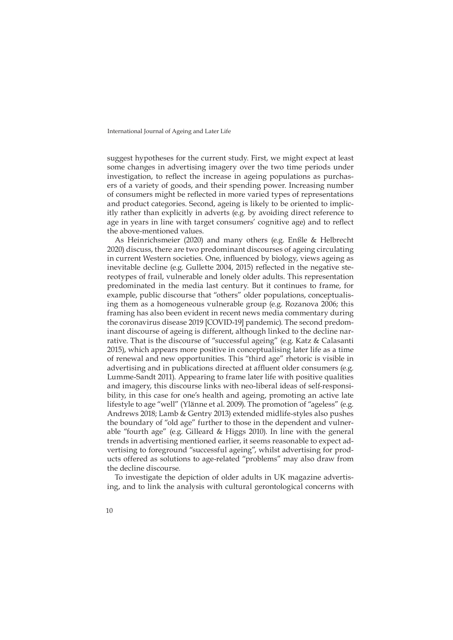suggest hypotheses for the current study. First, we might expect at least some changes in advertising imagery over the two time periods under investigation, to reflect the increase in ageing populations as purchasers of a variety of goods, and their spending power. Increasing number of consumers might be reflected in more varied types of representations and product categories. Second, ageing is likely to be oriented to implicitly rather than explicitly in adverts (e.g. by avoiding direct reference to age in years in line with target consumers' cognitive age) and to reflect the above-mentioned values.

As Heinrichsmeier (2020) and many others (e.g. Enßle & Helbrecht 2020) discuss, there are two predominant discourses of ageing circulating in current Western societies. One, influenced by biology, views ageing as inevitable decline (e.g. Gullette 2004, 2015) reflected in the negative stereotypes of frail, vulnerable and lonely older adults. This representation predominated in the media last century. But it continues to frame, for example, public discourse that "others" older populations, conceptualising them as a homogeneous vulnerable group (e.g. Rozanova 2006; this framing has also been evident in recent news media commentary during the coronavirus disease 2019 [COVID-19] pandemic). The second predominant discourse of ageing is different, although linked to the decline narrative. That is the discourse of "successful ageing" (e.g. Katz & Calasanti 2015), which appears more positive in conceptualising later life as a time of renewal and new opportunities. This "third age" rhetoric is visible in advertising and in publications directed at affluent older consumers (e.g. Lumme-Sandt 2011). Appearing to frame later life with positive qualities and imagery, this discourse links with neo-liberal ideas of self-responsibility, in this case for one's health and ageing, promoting an active late lifestyle to age "well" (Ylänne et al. 2009). The promotion of "ageless" (e.g. Andrews 2018; Lamb & Gentry 2013) extended midlife-styles also pushes the boundary of "old age" further to those in the dependent and vulnerable "fourth age" (e.g. Gilleard & Higgs 2010). In line with the general trends in advertising mentioned earlier, it seems reasonable to expect advertising to foreground "successful ageing", whilst advertising for products offered as solutions to age-related "problems" may also draw from the decline discourse.

To investigate the depiction of older adults in UK magazine advertising, and to link the analysis with cultural gerontological concerns with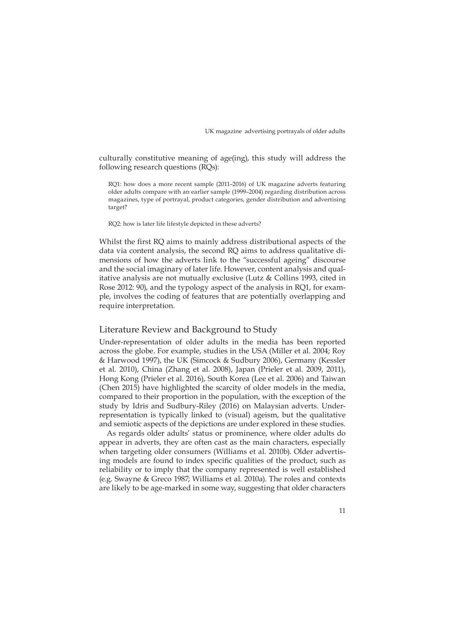culturally constitutive meaning of age(ing), this study will address the following research questions (RQs):

RQ1: how does a more recent sample (2011–2016) of UK magazine adverts featuring older adults compare with an earlier sample (1999–2004) regarding distribution across magazines, type of portrayal, product categories, gender distribution and advertising target?

RQ2: how is later life lifestyle depicted in these adverts?

Whilst the first RQ aims to mainly address distributional aspects of the data via content analysis, the second RQ aims to address qualitative dimensions of how the adverts link to the "successful ageing" discourse and the social imaginary of later life. However, content analysis and qualitative analysis are not mutually exclusive (Lutz & Collins 1993, cited in Rose 2012: 90), and the typology aspect of the analysis in RQ1, for example, involves the coding of features that are potentially overlapping and require interpretation.

## Literature Review and Background to Study

Under-representation of older adults in the media has been reported across the globe. For example, studies in the USA (Miller et al. 2004; Roy & Harwood 1997), the UK (Simcock & Sudbury 2006), Germany (Kessler et al. 2010), China (Zhang et al. 2008), Japan (Prieler et al. 2009, 2011), Hong Kong (Prieler et al. 2016), South Korea (Lee et al. 2006) and Taiwan (Chen 2015) have highlighted the scarcity of older models in the media, compared to their proportion in the population, with the exception of the study by Idris and Sudbury-Riley (2016) on Malaysian adverts. Underrepresentation is typically linked to (visual) ageism, but the qualitative and semiotic aspects of the depictions are under explored in these studies.

As regards older adults' status or prominence, where older adults do appear in adverts, they are often cast as the main characters, especially when targeting older consumers (Williams et al. 2010b). Older advertising models are found to index specific qualities of the product, such as reliability or to imply that the company represented is well established (e.g. Swayne & Greco 1987; Williams et al. 2010a). The roles and contexts are likely to be age-marked in some way, suggesting that older characters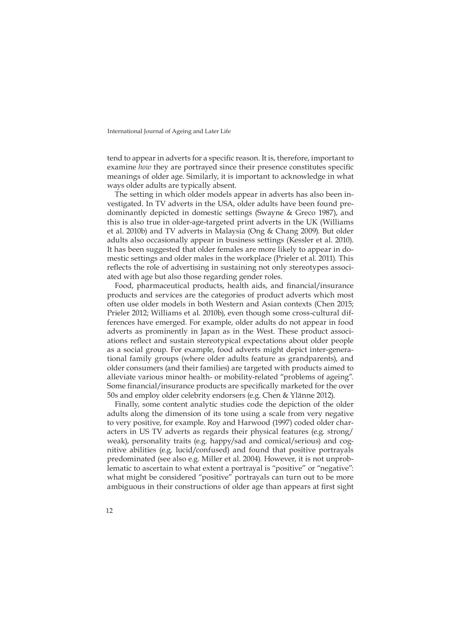tend to appear in adverts for a specific reason. It is, therefore, important to examine *how* they are portrayed since their presence constitutes specific meanings of older age. Similarly, it is important to acknowledge in what ways older adults are typically absent.

The setting in which older models appear in adverts has also been investigated. In TV adverts in the USA, older adults have been found predominantly depicted in domestic settings (Swayne & Greco 1987), and this is also true in older-age-targeted print adverts in the UK (Williams et al. 2010b) and TV adverts in Malaysia (Ong & Chang 2009). But older adults also occasionally appear in business settings (Kessler et al. 2010). It has been suggested that older females are more likely to appear in domestic settings and older males in the workplace (Prieler et al. 2011). This reflects the role of advertising in sustaining not only stereotypes associated with age but also those regarding gender roles.

Food, pharmaceutical products, health aids, and financial/insurance products and services are the categories of product adverts which most often use older models in both Western and Asian contexts (Chen 2015; Prieler 2012; Williams et al. 2010b), even though some cross-cultural differences have emerged. For example, older adults do not appear in food adverts as prominently in Japan as in the West. These product associations reflect and sustain stereotypical expectations about older people as a social group. For example, food adverts might depict inter-generational family groups (where older adults feature as grandparents), and older consumers (and their families) are targeted with products aimed to alleviate various minor health- or mobility-related "problems of ageing". Some financial/insurance products are specifically marketed for the over 50s and employ older celebrity endorsers (e.g. Chen & Ylänne 2012).

Finally, some content analytic studies code the depiction of the older adults along the dimension of its tone using a scale from very negative to very positive, for example. Roy and Harwood (1997) coded older characters in US TV adverts as regards their physical features (e.g. strong/ weak), personality traits (e.g. happy/sad and comical/serious) and cognitive abilities (e.g. lucid/confused) and found that positive portrayals predominated (see also e.g. Miller et al. 2004). However, it is not unproblematic to ascertain to what extent a portrayal is "positive" or "negative": what might be considered "positive" portrayals can turn out to be more ambiguous in their constructions of older age than appears at first sight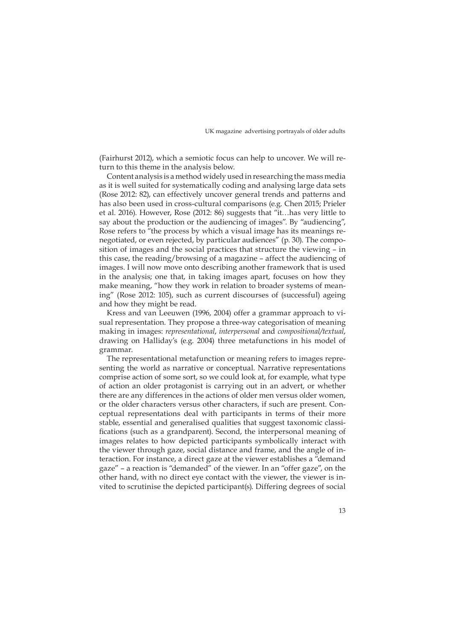(Fairhurst 2012), which a semiotic focus can help to uncover. We will return to this theme in the analysis below.

Content analysis is a method widely used in researching the mass media as it is well suited for systematically coding and analysing large data sets (Rose 2012: 82), can effectively uncover general trends and patterns and has also been used in cross-cultural comparisons (e.g. Chen 2015; Prieler et al. 2016). However, Rose (2012: 86) suggests that "it…has very little to say about the production or the audiencing of images". By "audiencing", Rose refers to "the process by which a visual image has its meanings renegotiated, or even rejected, by particular audiences" (p. 30). The composition of images and the social practices that structure the viewing – in this case, the reading/browsing of a magazine – affect the audiencing of images. I will now move onto describing another framework that is used in the analysis; one that, in taking images apart, focuses on how they make meaning, "how they work in relation to broader systems of meaning" (Rose 2012: 105), such as current discourses of (successful) ageing and how they might be read.

Kress and van Leeuwen (1996, 2004) offer a grammar approach to visual representation. They propose a three-way categorisation of meaning making in images: *representational*, *interpersonal* and *compositional/textual*, drawing on Halliday's (e.g. 2004) three metafunctions in his model of grammar.

The representational metafunction or meaning refers to images representing the world as narrative or conceptual. Narrative representations comprise action of some sort, so we could look at, for example, what type of action an older protagonist is carrying out in an advert, or whether there are any differences in the actions of older men versus older women, or the older characters versus other characters, if such are present. Conceptual representations deal with participants in terms of their more stable, essential and generalised qualities that suggest taxonomic classifications (such as a grandparent). Second, the interpersonal meaning of images relates to how depicted participants symbolically interact with the viewer through gaze, social distance and frame, and the angle of interaction. For instance, a direct gaze at the viewer establishes a "demand gaze" – a reaction is "demanded" of the viewer. In an "offer gaze", on the other hand, with no direct eye contact with the viewer, the viewer is invited to scrutinise the depicted participant(s). Differing degrees of social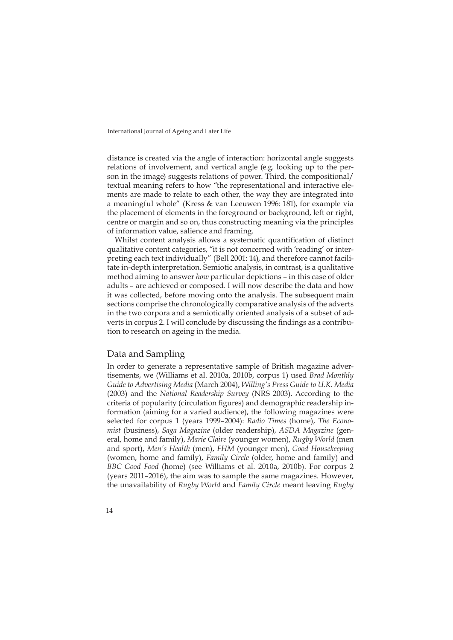distance is created via the angle of interaction: horizontal angle suggests relations of involvement, and vertical angle (e.g. looking up to the person in the image) suggests relations of power. Third, the compositional/ textual meaning refers to how "the representational and interactive elements are made to relate to each other, the way they are integrated into a meaningful whole" (Kress & van Leeuwen 1996: 181), for example via the placement of elements in the foreground or background, left or right, centre or margin and so on, thus constructing meaning via the principles of information value, salience and framing.

Whilst content analysis allows a systematic quantification of distinct qualitative content categories, "it is not concerned with 'reading' or interpreting each text individually" (Bell 2001: 14), and therefore cannot facilitate in-depth interpretation. Semiotic analysis, in contrast, is a qualitative method aiming to answer *how* particular depictions – in this case of older adults – are achieved or composed. I will now describe the data and how it was collected, before moving onto the analysis. The subsequent main sections comprise the chronologically comparative analysis of the adverts in the two corpora and a semiotically oriented analysis of a subset of adverts in corpus 2. I will conclude by discussing the findings as a contribution to research on ageing in the media.

### Data and Sampling

In order to generate a representative sample of British magazine advertisements, we (Williams et al. 2010a, 2010b, corpus 1) used *Brad Monthly Guide to Advertising Media* (March 2004), *Willing's Press Guide to U.K. Media*  (2003) and the *National Readership Survey* (NRS 2003). According to the criteria of popularity (circulation figures) and demographic readership information (aiming for a varied audience), the following magazines were selected for corpus 1 (years 1999–2004): *Radio Times* (home), *The Economist* (business), *Saga Magazine* (older readership), *ASDA Magazine* (general, home and family), *Marie Claire* (younger women), *Rugby World* (men and sport), *Men's Health* (men), *FHM* (younger men), *Good Housekeeping*  (women, home and family), *Family Circle* (older, home and family) and *BBC Good Food* (home) (see Williams et al. 2010a, 2010b). For corpus 2 (years 2011–2016), the aim was to sample the same magazines. However, the unavailability of *Rugby World* and *Family Circle* meant leaving *Rugby*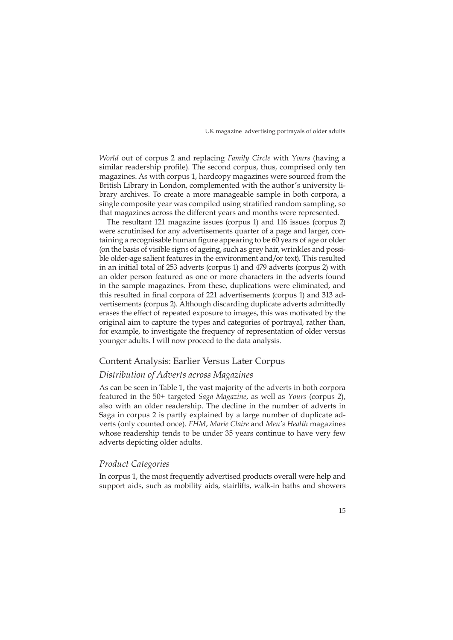*World* out of corpus 2 and replacing *Family Circle* with *Yours* (having a similar readership profile). The second corpus, thus, comprised only ten magazines. As with corpus 1, hardcopy magazines were sourced from the British Library in London, complemented with the author's university library archives. To create a more manageable sample in both corpora, a single composite year was compiled using stratified random sampling, so that magazines across the different years and months were represented.

The resultant 121 magazine issues (corpus 1) and 116 issues (corpus 2) were scrutinised for any advertisements quarter of a page and larger, containing a recognisable human figure appearing to be 60 years of age or older (on the basis of visible signs of ageing, such as grey hair, wrinkles and possible older-age salient features in the environment and/or text). This resulted in an initial total of 253 adverts (corpus 1) and 479 adverts (corpus 2) with an older person featured as one or more characters in the adverts found in the sample magazines. From these, duplications were eliminated, and this resulted in final corpora of 221 advertisements (corpus 1) and 313 advertisements (corpus 2). Although discarding duplicate adverts admittedly erases the effect of repeated exposure to images, this was motivated by the original aim to capture the types and categories of portrayal, rather than, for example, to investigate the frequency of representation of older versus younger adults. I will now proceed to the data analysis.

## Content Analysis: Earlier Versus Later Corpus

#### *Distribution of Adverts across Magazines*

As can be seen in Table 1, the vast majority of the adverts in both corpora featured in the 50+ targeted *Saga Magazine*, as well as *Yours* (corpus 2), also with an older readership. The decline in the number of adverts in Saga in corpus 2 is partly explained by a large number of duplicate adverts (only counted once). *FHM*, *Marie Claire* and *Men's Health* magazines whose readership tends to be under 35 years continue to have very few adverts depicting older adults.

#### *Product Categories*

In corpus 1, the most frequently advertised products overall were help and support aids, such as mobility aids, stairlifts, walk-in baths and showers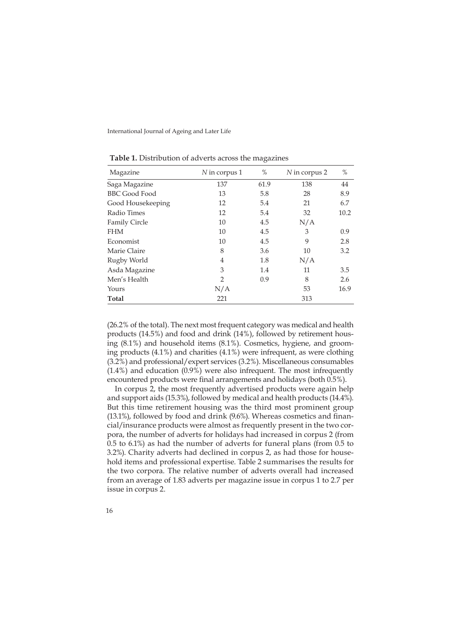| Magazine             | N in corpus 1  | %    | N in corpus 2 | %    |
|----------------------|----------------|------|---------------|------|
| Saga Magazine        | 137            | 61.9 | 138           | 44   |
| <b>BBC Good Food</b> | 13             | 5.8  | 28            | 8.9  |
| Good Housekeeping    | 12             | 5.4  | 21            | 6.7  |
| Radio Times          | 12             | 5.4  | 32            | 10.2 |
| <b>Family Circle</b> | 10             | 4.5  | N/A           |      |
| <b>FHM</b>           | 10             | 4.5  | 3             | 0.9  |
| Economist            | 10             | 4.5  | 9             | 2.8  |
| Marie Claire         | 8              | 3.6  | 10            | 3.2  |
| Rugby World          | 4              | 1.8  | N/A           |      |
| Asda Magazine        | 3              | 1.4  | 11            | 3.5  |
| Men's Health         | $\overline{2}$ | 0.9  | 8             | 2.6  |
| Yours                | N/A            |      | 53            | 16.9 |
| <b>Total</b>         | 221            |      | 313           |      |

**Table 1.** Distribution of adverts across the magazines

(26.2% of the total). The next most frequent category was medical and health products (14.5%) and food and drink (14%), followed by retirement housing (8.1%) and household items (8.1%). Cosmetics, hygiene, and grooming products (4.1%) and charities (4.1%) were infrequent, as were clothing (3.2%) and professional/expert services (3.2%). Miscellaneous consumables (1.4%) and education (0.9%) were also infrequent. The most infrequently encountered products were final arrangements and holidays (both 0.5%).

In corpus 2, the most frequently advertised products were again help and support aids (15.3%), followed by medical and health products (14.4%). But this time retirement housing was the third most prominent group (13.1%), followed by food and drink (9.6%). Whereas cosmetics and financial/insurance products were almost as frequently present in the two corpora, the number of adverts for holidays had increased in corpus 2 (from 0.5 to 6.1%) as had the number of adverts for funeral plans (from 0.5 to 3.2%). Charity adverts had declined in corpus 2, as had those for household items and professional expertise. Table 2 summarises the results for the two corpora. The relative number of adverts overall had increased from an average of 1.83 adverts per magazine issue in corpus 1 to 2.7 per issue in corpus 2.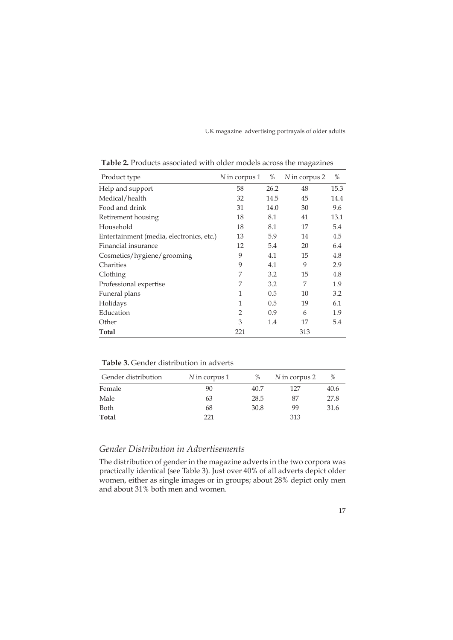| Product type                             | N in corpus 1  | %    | N in corpus 2 | $\%$ |
|------------------------------------------|----------------|------|---------------|------|
| Help and support                         | 58             | 26.2 | 48            | 15.3 |
| Medical/health                           | 32             | 14.5 | 45            | 14.4 |
| Food and drink                           | 31             | 14.0 | 30            | 9.6  |
| Retirement housing                       | 18             | 8.1  | 41            | 13.1 |
| Household                                | 18             | 8.1  | 17            | 5.4  |
| Entertainment (media, electronics, etc.) | 13             | 5.9  | 14            | 4.5  |
| Financial insurance                      | 12             | 5.4  | 20            | 6.4  |
| Cosmetics/hygiene/grooming               | 9              | 4.1  | 15            | 4.8  |
| Charities                                | 9              | 4.1  | 9             | 2.9  |
| Clothing                                 | 7              | 3.2  | 15            | 4.8  |
| Professional expertise                   | 7              | 3.2  | 7             | 1.9  |
| Funeral plans                            | 1              | 0.5  | 10            | 3.2  |
| Holidays                                 | 1              | 0.5  | 19            | 6.1  |
| Education                                | $\overline{2}$ | 0.9  | 6             | 1.9  |
| Other                                    | 3              | 1.4  | 17            | 5.4  |
| Total                                    | 221            |      | 313           |      |

**Table 2.** Products associated with older models across the magazines

**Table 3.** Gender distribution in adverts

| Gender distribution | $N$ in corpus 1 | $\%$ | N in corpus 2 | %    |
|---------------------|-----------------|------|---------------|------|
| Female              | 90              | 40.7 | 127           | 40.6 |
| Male                | 63              | 28.5 | 87            | 27.8 |
| Both                | 68              | 30.8 | 99            | 31.6 |
| Total               | 221             |      | 313           |      |

## *Gender Distribution in Advertisements*

The distribution of gender in the magazine adverts in the two corpora was practically identical (see Table 3). Just over 40% of all adverts depict older women, either as single images or in groups; about 28% depict only men and about 31% both men and women.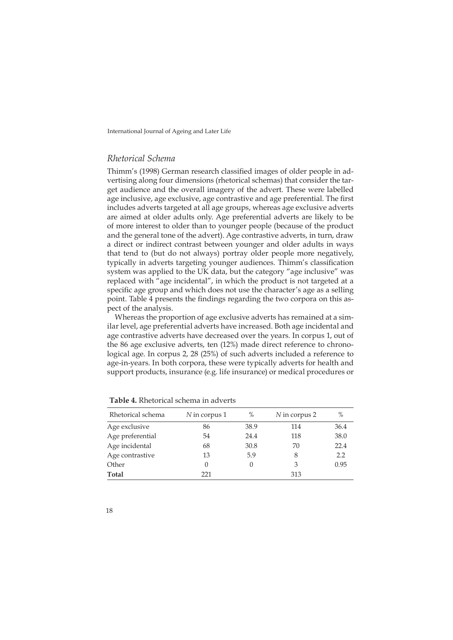## *Rhetorical Schema*

Thimm's (1998) German research classified images of older people in advertising along four dimensions (rhetorical schemas) that consider the target audience and the overall imagery of the advert. These were labelled age inclusive, age exclusive, age contrastive and age preferential. The first includes adverts targeted at all age groups, whereas age exclusive adverts are aimed at older adults only. Age preferential adverts are likely to be of more interest to older than to younger people (because of the product and the general tone of the advert). Age contrastive adverts, in turn, draw a direct or indirect contrast between younger and older adults in ways that tend to (but do not always) portray older people more negatively, typically in adverts targeting younger audiences. Thimm's classification system was applied to the UK data, but the category "age inclusive" was replaced with "age incidental", in which the product is not targeted at a specific age group and which does not use the character's age as a selling point. Table 4 presents the findings regarding the two corpora on this aspect of the analysis.

Whereas the proportion of age exclusive adverts has remained at a similar level, age preferential adverts have increased. Both age incidental and age contrastive adverts have decreased over the years. In corpus 1, out of the 86 age exclusive adverts, ten (12%) made direct reference to chronological age. In corpus 2, 28 (25%) of such adverts included a reference to age-in-years. In both corpora, these were typically adverts for health and support products, insurance (e.g. life insurance) or medical procedures or

| Rhetorical schema | N in corpus 1 | %                | N in corpus 2 | $\%$ |
|-------------------|---------------|------------------|---------------|------|
| Age exclusive     | 86            | 38.9             | 114           | 36.4 |
| Age preferential  | 54            | 24.4             | 118           | 38.0 |
| Age incidental    | 68            | 30.8             | 70            | 22.4 |
| Age contrastive   | 13            | 5.9              | 8             | 2.2  |
| Other             | 0             | $\left( \right)$ | 3             | 0.95 |
| <b>Total</b>      | 221           |                  | 313           |      |

**Table 4.** Rhetorical schema in adverts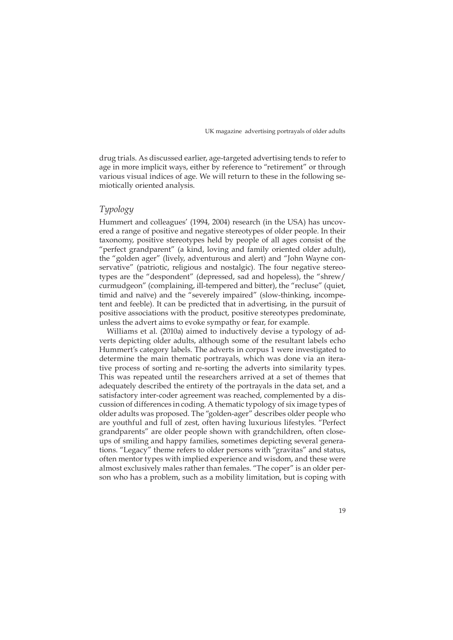drug trials. As discussed earlier, age-targeted advertising tends to refer to age in more implicit ways, either by reference to "retirement" or through various visual indices of age. We will return to these in the following semiotically oriented analysis.

## *Typology*

Hummert and colleagues' (1994, 2004) research (in the USA) has uncovered a range of positive and negative stereotypes of older people. In their taxonomy, positive stereotypes held by people of all ages consist of the "perfect grandparent" (a kind, loving and family oriented older adult), the "golden ager" (lively, adventurous and alert) and "John Wayne conservative" (patriotic, religious and nostalgic). The four negative stereotypes are the "despondent" (depressed, sad and hopeless), the "shrew/ curmudgeon" (complaining, ill-tempered and bitter), the "recluse" (quiet, timid and naïve) and the "severely impaired" (slow-thinking, incompetent and feeble). It can be predicted that in advertising, in the pursuit of positive associations with the product, positive stereotypes predominate, unless the advert aims to evoke sympathy or fear, for example.

Williams et al. (2010a) aimed to inductively devise a typology of adverts depicting older adults, although some of the resultant labels echo Hummert's category labels. The adverts in corpus 1 were investigated to determine the main thematic portrayals, which was done via an iterative process of sorting and re-sorting the adverts into similarity types. This was repeated until the researchers arrived at a set of themes that adequately described the entirety of the portrayals in the data set, and a satisfactory inter-coder agreement was reached, complemented by a discussion of differences in coding. A thematic typology of six image types of older adults was proposed. The "golden-ager" describes older people who are youthful and full of zest, often having luxurious lifestyles. "Perfect grandparents" are older people shown with grandchildren, often closeups of smiling and happy families, sometimes depicting several generations. "Legacy" theme refers to older persons with "gravitas" and status, often mentor types with implied experience and wisdom, and these were almost exclusively males rather than females. "The coper" is an older person who has a problem, such as a mobility limitation, but is coping with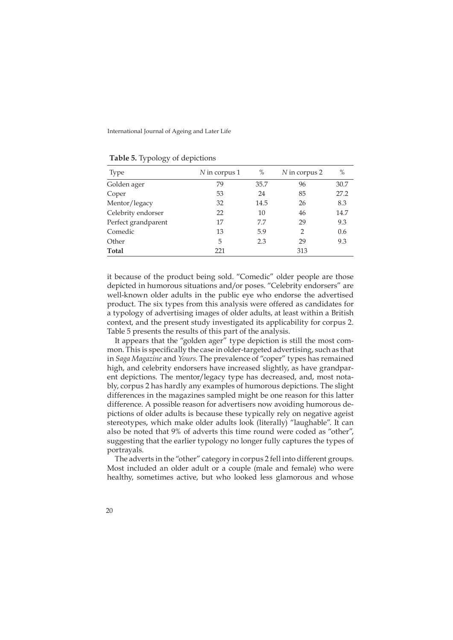| <u>J J</u>          |               |      |               |      |
|---------------------|---------------|------|---------------|------|
| Type                | N in corpus 1 | $\%$ | N in corpus 2 | $\%$ |
| Golden ager         | 79            | 35.7 | 96            | 30.7 |
| Coper               | 53            | 24   | 85            | 27.2 |
| Mentor/legacy       | 32            | 14.5 | 26            | 8.3  |
| Celebrity endorser  | 22            | 10   | 46            | 14.7 |
| Perfect grandparent | 17            | 7.7  | 29            | 9.3  |
| Comedic             | 13            | 5.9  | 2             | 0.6  |
| Other               | 5             | 2.3  | 29            | 9.3  |
| Total               | 221           |      | 313           |      |

**Table 5.** Typology of depictions

it because of the product being sold. "Comedic" older people are those depicted in humorous situations and/or poses. "Celebrity endorsers" are well-known older adults in the public eye who endorse the advertised product. The six types from this analysis were offered as candidates for a typology of advertising images of older adults, at least within a British context, and the present study investigated its applicability for corpus 2. Table 5 presents the results of this part of the analysis.

It appears that the "golden ager" type depiction is still the most common. This is specifically the case in older-targeted advertising, such as that in *Saga Magazine* and *Yours*. The prevalence of "coper" types has remained high, and celebrity endorsers have increased slightly, as have grandparent depictions. The mentor/legacy type has decreased, and, most notably, corpus 2 has hardly any examples of humorous depictions. The slight differences in the magazines sampled might be one reason for this latter difference. A possible reason for advertisers now avoiding humorous depictions of older adults is because these typically rely on negative ageist stereotypes, which make older adults look (literally) "laughable". It can also be noted that 9% of adverts this time round were coded as "other", suggesting that the earlier typology no longer fully captures the types of portrayals.

The adverts in the "other" category in corpus 2 fell into different groups. Most included an older adult or a couple (male and female) who were healthy, sometimes active, but who looked less glamorous and whose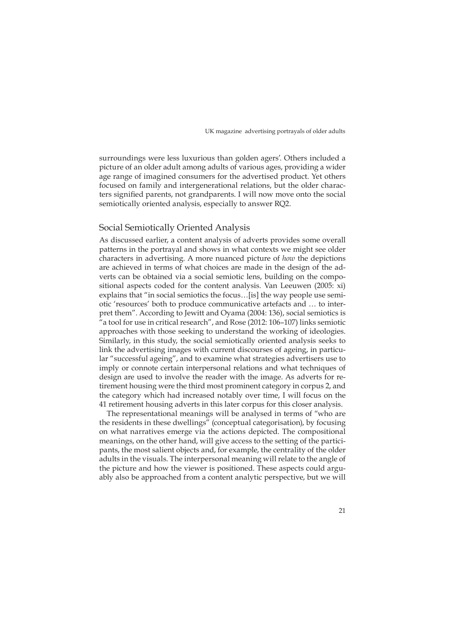surroundings were less luxurious than golden agers'. Others included a picture of an older adult among adults of various ages, providing a wider age range of imagined consumers for the advertised product. Yet others focused on family and intergenerational relations, but the older characters signified parents, not grandparents. I will now move onto the social semiotically oriented analysis, especially to answer RQ2.

#### Social Semiotically Oriented Analysis

As discussed earlier, a content analysis of adverts provides some overall patterns in the portrayal and shows in what contexts we might see older characters in advertising. A more nuanced picture of *how* the depictions are achieved in terms of what choices are made in the design of the adverts can be obtained via a social semiotic lens, building on the compositional aspects coded for the content analysis. Van Leeuwen (2005: xi) explains that "in social semiotics the focus…[is] the way people use semiotic 'resources' both to produce communicative artefacts and … to interpret them". According to Jewitt and Oyama (2004: 136), social semiotics is "a tool for use in critical research", and Rose (2012: 106–107) links semiotic approaches with those seeking to understand the working of ideologies. Similarly, in this study, the social semiotically oriented analysis seeks to link the advertising images with current discourses of ageing, in particular "successful ageing", and to examine what strategies advertisers use to imply or connote certain interpersonal relations and what techniques of design are used to involve the reader with the image. As adverts for retirement housing were the third most prominent category in corpus 2, and the category which had increased notably over time, I will focus on the 41 retirement housing adverts in this later corpus for this closer analysis.

The representational meanings will be analysed in terms of "who are the residents in these dwellings" (conceptual categorisation), by focusing on what narratives emerge via the actions depicted. The compositional meanings, on the other hand, will give access to the setting of the participants, the most salient objects and, for example, the centrality of the older adults in the visuals. The interpersonal meaning will relate to the angle of the picture and how the viewer is positioned. These aspects could arguably also be approached from a content analytic perspective, but we will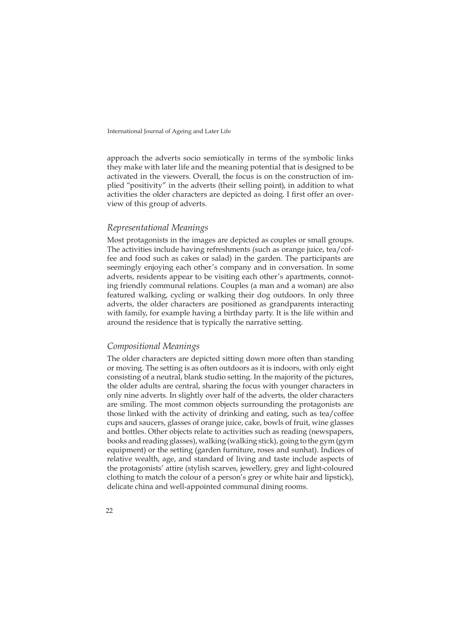approach the adverts socio semiotically in terms of the symbolic links they make with later life and the meaning potential that is designed to be activated in the viewers. Overall, the focus is on the construction of implied "positivity" in the adverts (their selling point), in addition to what activities the older characters are depicted as doing. I first offer an overview of this group of adverts.

#### *Representational Meanings*

Most protagonists in the images are depicted as couples or small groups. The activities include having refreshments (such as orange juice, tea/coffee and food such as cakes or salad) in the garden. The participants are seemingly enjoying each other's company and in conversation. In some adverts, residents appear to be visiting each other's apartments, connoting friendly communal relations. Couples (a man and a woman) are also featured walking, cycling or walking their dog outdoors. In only three adverts, the older characters are positioned as grandparents interacting with family, for example having a birthday party. It is the life within and around the residence that is typically the narrative setting.

#### *Compositional Meanings*

The older characters are depicted sitting down more often than standing or moving. The setting is as often outdoors as it is indoors, with only eight consisting of a neutral, blank studio setting. In the majority of the pictures, the older adults are central, sharing the focus with younger characters in only nine adverts. In slightly over half of the adverts, the older characters are smiling. The most common objects surrounding the protagonists are those linked with the activity of drinking and eating, such as tea/coffee cups and saucers, glasses of orange juice, cake, bowls of fruit, wine glasses and bottles. Other objects relate to activities such as reading (newspapers, books and reading glasses), walking (walking stick), going to the gym (gym equipment) or the setting (garden furniture, roses and sunhat). Indices of relative wealth, age, and standard of living and taste include aspects of the protagonists' attire (stylish scarves, jewellery, grey and light-coloured clothing to match the colour of a person's grey or white hair and lipstick), delicate china and well-appointed communal dining rooms.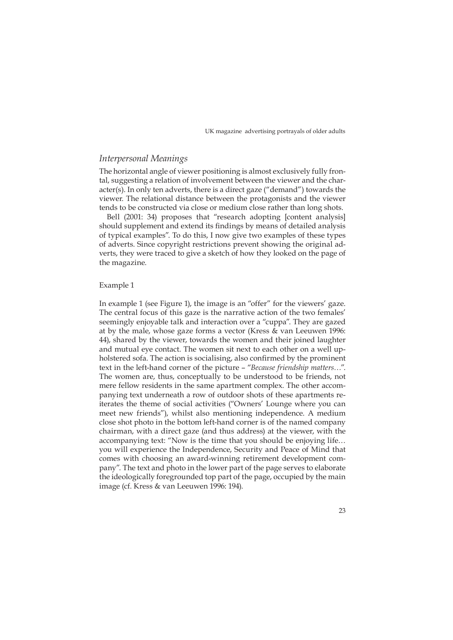#### *Interpersonal Meanings*

The horizontal angle of viewer positioning is almost exclusively fully frontal, suggesting a relation of involvement between the viewer and the character(s). In only ten adverts, there is a direct gaze ("demand") towards the viewer. The relational distance between the protagonists and the viewer tends to be constructed via close or medium close rather than long shots.

Bell (2001: 34) proposes that "research adopting [content analysis] should supplement and extend its findings by means of detailed analysis of typical examples". To do this, I now give two examples of these types of adverts. Since copyright restrictions prevent showing the original adverts, they were traced to give a sketch of how they looked on the page of the magazine.

#### Example 1

In example 1 (see Figure 1), the image is an "offer" for the viewers' gaze. The central focus of this gaze is the narrative action of the two females' seemingly enjoyable talk and interaction over a "cuppa". They are gazed at by the male, whose gaze forms a vector (Kress & van Leeuwen 1996: 44), shared by the viewer, towards the women and their joined laughter and mutual eye contact. The women sit next to each other on a well upholstered sofa. The action is socialising, also confirmed by the prominent text in the left-hand corner of the picture – "*Because friendship matters…*". The women are, thus, conceptually to be understood to be friends, not mere fellow residents in the same apartment complex. The other accompanying text underneath a row of outdoor shots of these apartments reiterates the theme of social activities ("Owners' Lounge where you can meet new friends"), whilst also mentioning independence. A medium close shot photo in the bottom left-hand corner is of the named company chairman, with a direct gaze (and thus address) at the viewer, with the accompanying text: "Now is the time that you should be enjoying life… you will experience the Independence, Security and Peace of Mind that comes with choosing an award-winning retirement development company". The text and photo in the lower part of the page serves to elaborate the ideologically foregrounded top part of the page, occupied by the main image (cf. Kress & van Leeuwen 1996: 194).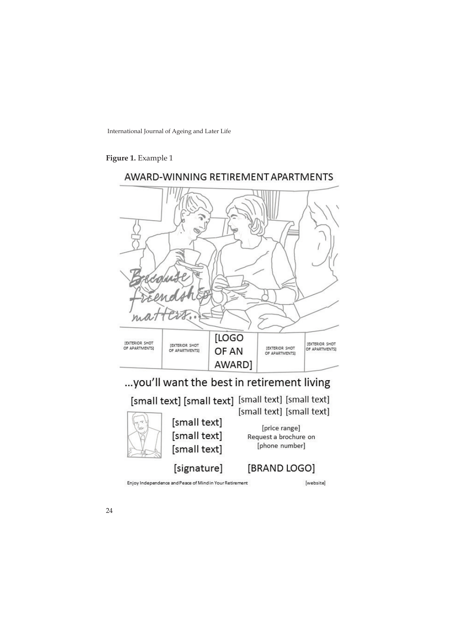## **Figure 1.** Example 1



Enjoy Independence and Peace of Mind in Your Retirement

[signature]

[website]

[BRAND LOGO]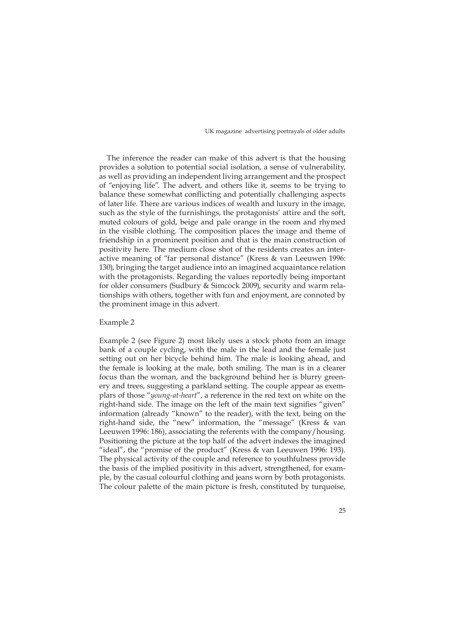The inference the reader can make of this advert is that the housing provides a solution to potential social isolation, a sense of vulnerability, as well as providing an independent living arrangement and the prospect of "enjoying life". The advert, and others like it, seems to be trying to balance these somewhat conflicting and potentially challenging aspects of later life. There are various indices of wealth and luxury in the image, such as the style of the furnishings, the protagonists' attire and the soft, muted colours of gold, beige and pale orange in the room and rhymed in the visible clothing. The composition places the image and theme of friendship in a prominent position and that is the main construction of positivity here. The medium close shot of the residents creates an interactive meaning of "far personal distance" (Kress & van Leeuwen 1996: 130), bringing the target audience into an imagined acquaintance relation with the protagonists. Regarding the values reportedly being important for older consumers (Sudbury & Simcock 2009), security and warm relationships with others, together with fun and enjoyment, are connoted by the prominent image in this advert.

#### Example 2

Example 2 (see Figure 2) most likely uses a stock photo from an image bank of a couple cycling, with the male in the lead and the female just setting out on her bicycle behind him. The male is looking ahead, and the female is looking at the male, both smiling. The man is in a clearer focus than the woman, and the background behind her is blurry greenery and trees, suggesting a parkland setting. The couple appear as exemplars of those "*young-at-heart*", a reference in the red text on white on the right-hand side. The image on the left of the main text signifies "given" information (already "known" to the reader), with the text, being on the right-hand side, the "new" information, the "message" (Kress & van Leeuwen 1996: 186), associating the referents with the company/housing. Positioning the picture at the top half of the advert indexes the imagined "ideal", the "promise of the product" (Kress & van Leeuwen 1996: 193). The physical activity of the couple and reference to youthfulness provide the basis of the implied positivity in this advert, strengthened, for example, by the casual colourful clothing and jeans worn by both protagonists. The colour palette of the main picture is fresh, constituted by turquoise,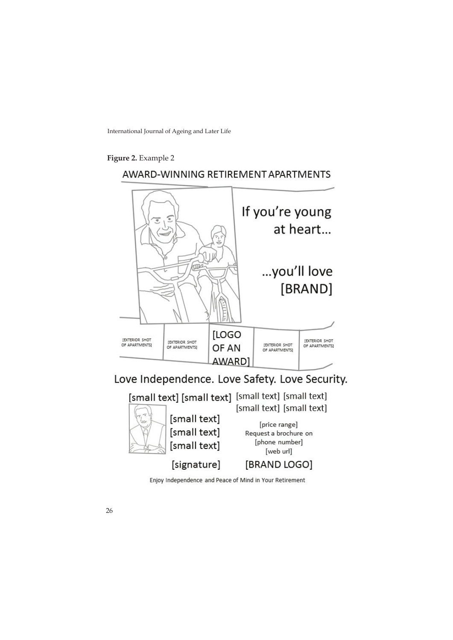**Figure 2.** Example 2

## AWARD-WINNING RETIREMENT APARTMENTS





Enjoy Independence and Peace of Mind in Your Retirement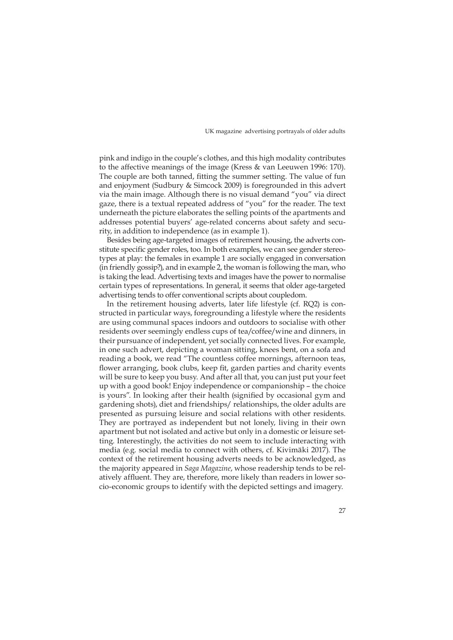pink and indigo in the couple's clothes, and this high modality contributes to the affective meanings of the image (Kress & van Leeuwen 1996: 170). The couple are both tanned, fitting the summer setting. The value of fun and enjoyment (Sudbury & Simcock 2009) is foregrounded in this advert via the main image. Although there is no visual demand "you" via direct gaze, there is a textual repeated address of "you" for the reader. The text underneath the picture elaborates the selling points of the apartments and addresses potential buyers' age-related concerns about safety and security, in addition to independence (as in example 1).

Besides being age-targeted images of retirement housing, the adverts constitute specific gender roles, too. In both examples, we can see gender stereotypes at play: the females in example 1 are socially engaged in conversation (in friendly gossip?), and in example 2, the woman is following the man, who is taking the lead. Advertising texts and images have the power to normalise certain types of representations. In general, it seems that older age-targeted advertising tends to offer conventional scripts about coupledom.

In the retirement housing adverts, later life lifestyle (cf. RQ2) is constructed in particular ways, foregrounding a lifestyle where the residents are using communal spaces indoors and outdoors to socialise with other residents over seemingly endless cups of tea/coffee/wine and dinners, in their pursuance of independent, yet socially connected lives. For example, in one such advert, depicting a woman sitting, knees bent, on a sofa and reading a book, we read "The countless coffee mornings, afternoon teas, flower arranging, book clubs, keep fit, garden parties and charity events will be sure to keep you busy. And after all that, you can just put your feet up with a good book! Enjoy independence or companionship – the choice is yours". In looking after their health (signified by occasional gym and gardening shots), diet and friendships/ relationships, the older adults are presented as pursuing leisure and social relations with other residents. They are portrayed as independent but not lonely, living in their own apartment but not isolated and active but only in a domestic or leisure setting. Interestingly, the activities do not seem to include interacting with media (e.g. social media to connect with others, cf. Kivimäki 2017). The context of the retirement housing adverts needs to be acknowledged, as the majority appeared in *Saga Magazine*, whose readership tends to be relatively affluent. They are, therefore, more likely than readers in lower socio-economic groups to identify with the depicted settings and imagery.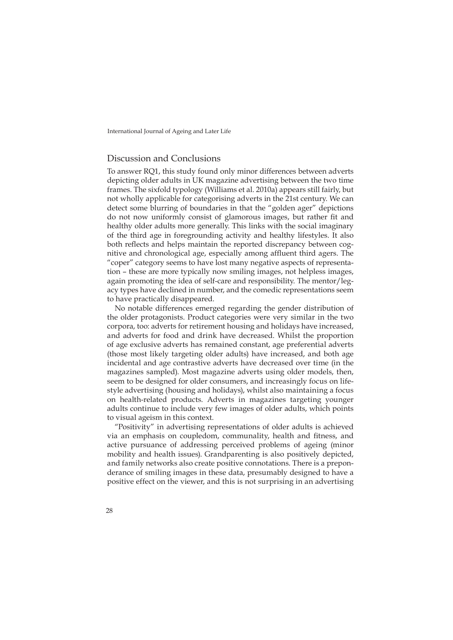## Discussion and Conclusions

To answer RQ1, this study found only minor differences between adverts depicting older adults in UK magazine advertising between the two time frames. The sixfold typology (Williams et al. 2010a) appears still fairly, but not wholly applicable for categorising adverts in the 21st century. We can detect some blurring of boundaries in that the "golden ager" depictions do not now uniformly consist of glamorous images, but rather fit and healthy older adults more generally. This links with the social imaginary of the third age in foregrounding activity and healthy lifestyles. It also both reflects and helps maintain the reported discrepancy between cognitive and chronological age, especially among affluent third agers. The "coper" category seems to have lost many negative aspects of representation – these are more typically now smiling images, not helpless images, again promoting the idea of self-care and responsibility. The mentor/legacy types have declined in number, and the comedic representations seem to have practically disappeared.

No notable differences emerged regarding the gender distribution of the older protagonists. Product categories were very similar in the two corpora, too: adverts for retirement housing and holidays have increased, and adverts for food and drink have decreased. Whilst the proportion of age exclusive adverts has remained constant, age preferential adverts (those most likely targeting older adults) have increased, and both age incidental and age contrastive adverts have decreased over time (in the magazines sampled). Most magazine adverts using older models, then, seem to be designed for older consumers, and increasingly focus on lifestyle advertising (housing and holidays), whilst also maintaining a focus on health-related products. Adverts in magazines targeting younger adults continue to include very few images of older adults, which points to visual ageism in this context.

"Positivity" in advertising representations of older adults is achieved via an emphasis on coupledom, communality, health and fitness, and active pursuance of addressing perceived problems of ageing (minor mobility and health issues). Grandparenting is also positively depicted, and family networks also create positive connotations. There is a preponderance of smiling images in these data, presumably designed to have a positive effect on the viewer, and this is not surprising in an advertising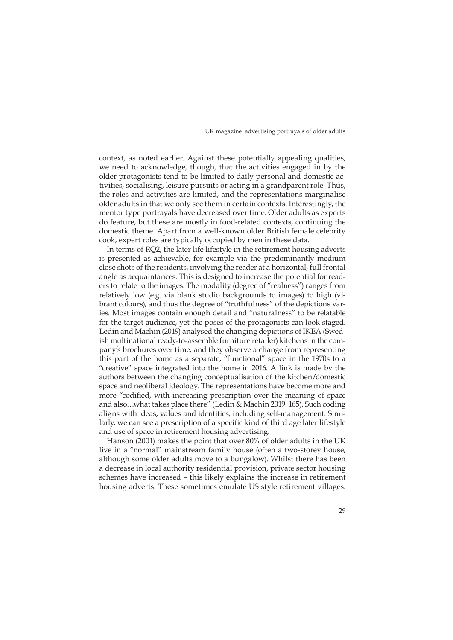context, as noted earlier. Against these potentially appealing qualities, we need to acknowledge, though, that the activities engaged in by the older protagonists tend to be limited to daily personal and domestic activities, socialising, leisure pursuits or acting in a grandparent role. Thus, the roles and activities are limited, and the representations marginalise older adults in that we only see them in certain contexts. Interestingly, the mentor type portrayals have decreased over time. Older adults as experts do feature, but these are mostly in food-related contexts, continuing the domestic theme. Apart from a well-known older British female celebrity cook, expert roles are typically occupied by men in these data.

In terms of RQ2, the later life lifestyle in the retirement housing adverts is presented as achievable, for example via the predominantly medium close shots of the residents, involving the reader at a horizontal, full frontal angle as acquaintances. This is designed to increase the potential for readers to relate to the images. The modality (degree of "realness") ranges from relatively low (e.g. via blank studio backgrounds to images) to high (vibrant colours), and thus the degree of "truthfulness" of the depictions varies. Most images contain enough detail and "naturalness" to be relatable for the target audience, yet the poses of the protagonists can look staged. Ledin and Machin (2019) analysed the changing depictions of IKEA (Swedish multinational ready-to-assemble furniture retailer) kitchens in the company's brochures over time, and they observe a change from representing this part of the home as a separate, "functional" space in the 1970s to a "creative" space integrated into the home in 2016. A link is made by the authors between the changing conceptualisation of the kitchen/domestic space and neoliberal ideology. The representations have become more and more "codified, with increasing prescription over the meaning of space and also…what takes place there" (Ledin & Machin 2019: 165). Such coding aligns with ideas, values and identities, including self-management. Similarly, we can see a prescription of a specific kind of third age later lifestyle and use of space in retirement housing advertising.

Hanson (2001) makes the point that over 80% of older adults in the UK live in a "normal" mainstream family house (often a two-storey house, although some older adults move to a bungalow). Whilst there has been a decrease in local authority residential provision, private sector housing schemes have increased – this likely explains the increase in retirement housing adverts. These sometimes emulate US style retirement villages.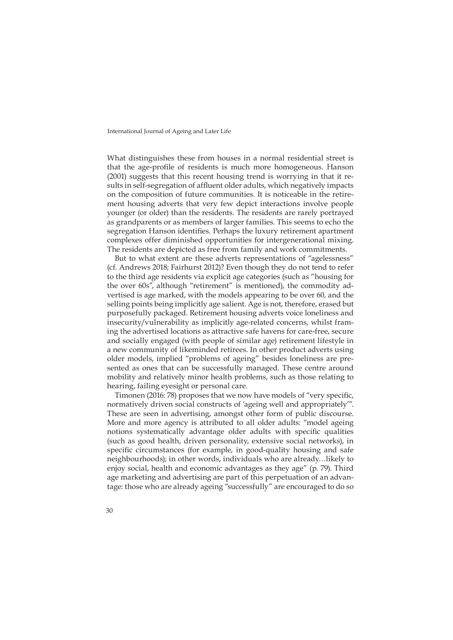What distinguishes these from houses in a normal residential street is that the age-profile of residents is much more homogeneous. Hanson (2001) suggests that this recent housing trend is worrying in that it results in self-segregation of affluent older adults, which negatively impacts on the composition of future communities. It is noticeable in the retirement housing adverts that very few depict interactions involve people younger (or older) than the residents. The residents are rarely portrayed as grandparents or as members of larger families. This seems to echo the segregation Hanson identifies. Perhaps the luxury retirement apartment complexes offer diminished opportunities for intergenerational mixing. The residents are depicted as free from family and work commitments.

But to what extent are these adverts representations of "agelessness" (cf. Andrews 2018; Fairhurst 2012)? Even though they do not tend to refer to the third age residents via explicit age categories (such as "housing for the over 60s", although "retirement" is mentioned), the commodity advertised is age marked, with the models appearing to be over 60, and the selling points being implicitly age salient. Age is not, therefore, erased but purposefully packaged. Retirement housing adverts voice loneliness and insecurity/vulnerability as implicitly age-related concerns, whilst framing the advertised locations as attractive safe havens for care-free, secure and socially engaged (with people of similar age) retirement lifestyle in a new community of likeminded retirees. In other product adverts using older models, implied "problems of ageing" besides loneliness are presented as ones that can be successfully managed. These centre around mobility and relatively minor health problems, such as those relating to hearing, failing eyesight or personal care.

Timonen (2016: 78) proposes that we now have models of "very specific, normatively driven social constructs of 'ageing well and appropriately'". These are seen in advertising, amongst other form of public discourse. More and more agency is attributed to all older adults: "model ageing notions systematically advantage older adults with specific qualities (such as good health, driven personality, extensive social networks), in specific circumstances (for example, in good-quality housing and safe neighbourhoods); in other words, individuals who are already…likely to enjoy social, health and economic advantages as they age" (p. 79). Third age marketing and advertising are part of this perpetuation of an advantage: those who are already ageing "successfully" are encouraged to do so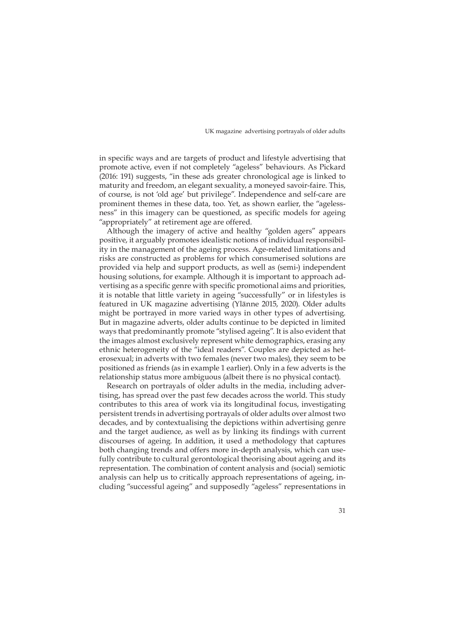in specific ways and are targets of product and lifestyle advertising that promote active, even if not completely "ageless" behaviours. As Pickard (2016: 191) suggests, "in these ads greater chronological age is linked to maturity and freedom, an elegant sexuality, a moneyed savoir-faire. This, of course, is not 'old age' but privilege". Independence and self-care are prominent themes in these data, too. Yet, as shown earlier, the "agelessness" in this imagery can be questioned, as specific models for ageing "appropriately" at retirement age are offered.

Although the imagery of active and healthy "golden agers" appears positive, it arguably promotes idealistic notions of individual responsibility in the management of the ageing process. Age-related limitations and risks are constructed as problems for which consumerised solutions are provided via help and support products, as well as (semi-) independent housing solutions, for example. Although it is important to approach advertising as a specific genre with specific promotional aims and priorities, it is notable that little variety in ageing "successfully" or in lifestyles is featured in UK magazine advertising (Ylänne 2015, 2020). Older adults might be portrayed in more varied ways in other types of advertising. But in magazine adverts, older adults continue to be depicted in limited ways that predominantly promote "stylised ageing". It is also evident that the images almost exclusively represent white demographics, erasing any ethnic heterogeneity of the "ideal readers". Couples are depicted as heterosexual; in adverts with two females (never two males), they seem to be positioned as friends (as in example 1 earlier). Only in a few adverts is the relationship status more ambiguous (albeit there is no physical contact).

Research on portrayals of older adults in the media, including advertising, has spread over the past few decades across the world. This study contributes to this area of work via its longitudinal focus, investigating persistent trends in advertising portrayals of older adults over almost two decades, and by contextualising the depictions within advertising genre and the target audience, as well as by linking its findings with current discourses of ageing. In addition, it used a methodology that captures both changing trends and offers more in-depth analysis, which can usefully contribute to cultural gerontological theorising about ageing and its representation. The combination of content analysis and (social) semiotic analysis can help us to critically approach representations of ageing, including "successful ageing" and supposedly "ageless" representations in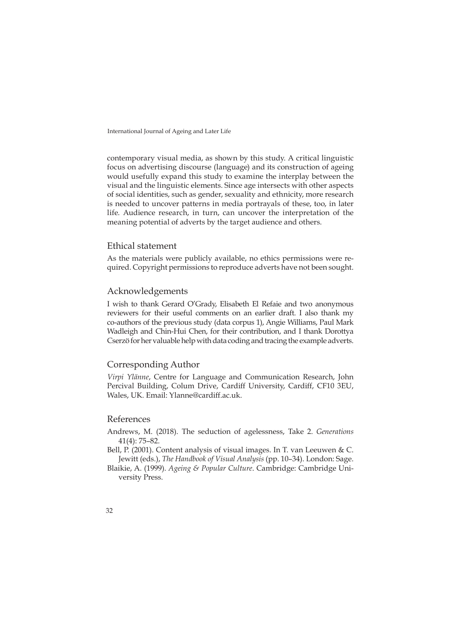contemporary visual media, as shown by this study. A critical linguistic focus on advertising discourse (language) and its construction of ageing would usefully expand this study to examine the interplay between the visual and the linguistic elements. Since age intersects with other aspects of social identities, such as gender, sexuality and ethnicity, more research is needed to uncover patterns in media portrayals of these, too, in later life. Audience research, in turn, can uncover the interpretation of the meaning potential of adverts by the target audience and others.

## Ethical statement

As the materials were publicly available, no ethics permissions were required. Copyright permissions to reproduce adverts have not been sought.

#### Acknowledgements

I wish to thank Gerard O'Grady, Elisabeth El Refaie and two anonymous reviewers for their useful comments on an earlier draft. I also thank my co-authors of the previous study (data corpus 1), Angie Williams, Paul Mark Wadleigh and Chin-Hui Chen, for their contribution, and I thank Dorottya Cserzö for her valuable help with data coding and tracing the example adverts.

## Corresponding Author

*Virpi Ylänne*, Centre for Language and Communication Research, John Percival Building, Colum Drive, Cardiff University, Cardiff, CF10 3EU, Wales, UK. Email: [Ylanne@cardiff.ac.uk.](mailto:Ylanne@cardiff.ac.uk)

## References

Andrews, M. (2018). The seduction of agelessness, Take 2. *Generations* 41(4): 75–82.

Bell, P. (2001). Content analysis of visual images. In T. van Leeuwen & C. Jewitt (eds.), *The Handbook of Visual Analysis* (pp. 10–34). London: Sage.

Blaikie, A. (1999). *Ageing & Popular Culture*. Cambridge: Cambridge University Press.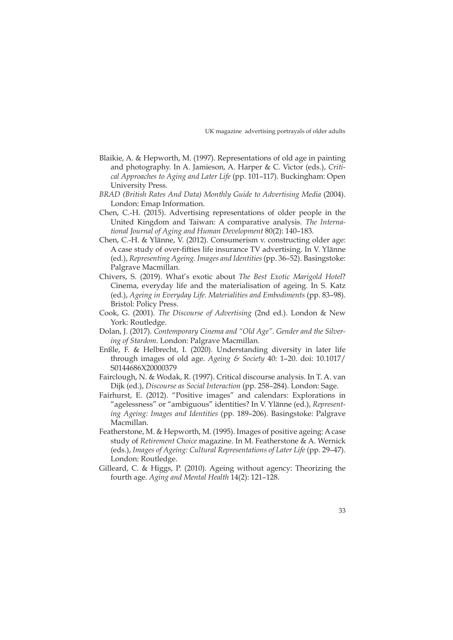- Blaikie, A. & Hepworth, M. (1997). Representations of old age in painting and photography. In A. Jamieson, A. Harper & C. Victor (eds.), *Critical Approaches to Aging and Later Life* (pp. 101–117). Buckingham: Open University Press.
- *BRAD (British Rates And Data) Monthly Guide to Advertising Media* (2004). London: Emap Information.
- Chen, C.-H. (2015). Advertising representations of older people in the United Kingdom and Taiwan: A comparative analysis. *The International Journal of Aging and Human Development* 80(2): 140–183.
- Chen, C.-H. & Ylänne, V. (2012). Consumerism v. constructing older age: A case study of over-fifties life insurance TV advertising. In V. Ylänne (ed.), *Representing Ageing. Images and Identities* (pp. 36–52). Basingstoke: Palgrave Macmillan.
- Chivers, S. (2019). What's exotic about *The Best Exotic Marigold Hotel*? Cinema, everyday life and the materialisation of ageing. In S. Katz (ed.), *Ageing in Everyday Life. Materialities and Embodiments* (pp. 83–98). Bristol: Policy Press.
- Cook, G. (2001). *The Discourse of Advertising* (2nd ed.). London & New York: Routledge.
- Dolan, J. (2017). *Contemporary Cinema and "Old Age". Gender and the Silvering of Stardom*. London: Palgrave Macmillan.
- Enßle, F. & Helbrecht, I. (2020). Understanding diversity in later life through images of old age. *Ageing & Society* 40: 1–20. doi: 10.1017/ S0144686X20000379
- Fairclough, N. & Wodak, R. (1997). Critical discourse analysis. In T. A. van Dijk (ed.), *Discourse as Social Interaction* (pp. 258–284). London: Sage.
- Fairhurst, E. (2012). "Positive images" and calendars: Explorations in "agelessness" or "ambiguous" identities? In V. Ylänne (ed.), *Representing Ageing: Images and Identities* (pp. 189–206). Basingstoke: Palgrave Macmillan.
- Featherstone, M. & Hepworth, M. (1995). Images of positive ageing: A case study of *Retirement Choice* magazine. In M. Featherstone & A. Wernick (eds.), *Images of Ageing: Cultural Representations of Later Life* (pp. 29–47). London: Routledge.
- Gilleard, C. & Higgs, P. (2010). Ageing without agency: Theorizing the fourth age. *Aging and Mental Health* 14(2): 121–128.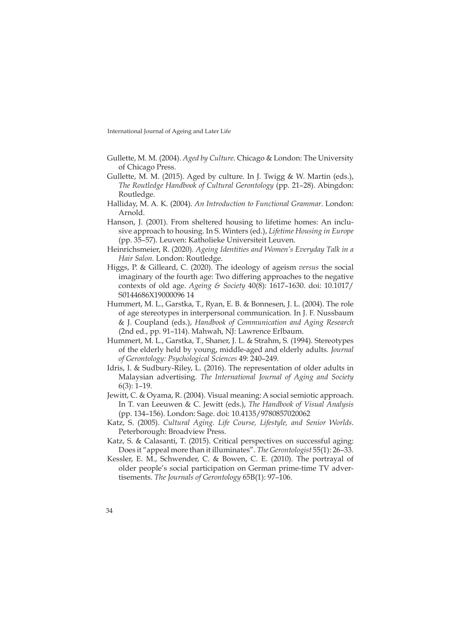- Gullette, M. M. (2004). *Aged by Culture*. Chicago & London: The University of Chicago Press.
- Gullette, M. M. (2015). Aged by culture. In J. Twigg  $&$  W. Martin (eds.), *The Routledge Handbook of Cultural Gerontology* (pp. 21–28). Abingdon: Routledge.
- Halliday, M. A. K. (2004). *An Introduction to Functional Grammar*. London: Arnold.
- Hanson, J. (2001). From sheltered housing to lifetime homes: An inclusive approach to housing. In S. Winters (ed.), *Lifetime Housing in Europe* (pp. 35–57). Leuven: Katholieke Universiteit Leuven.
- Heinrichsmeier, R. (2020). *Ageing Identities and Women's Everyday Talk in a Hair Salon.* London: Routledge.
- Higgs, P. & Gilleard, C. (2020). The ideology of ageism *versus* the social imaginary of the fourth age: Two differing approaches to the negative contexts of old age. *Ageing & Society* 40(8): 1617–1630. doi: 10.1017/ S0144686X19000096 14
- Hummert, M. L., Garstka, T., Ryan, E. B. & Bonnesen, J. L. (2004). The role of age stereotypes in interpersonal communication. In J. F. Nussbaum & J. Coupland (eds.), *Handbook of Communication and Aging Research* (2nd ed., pp. 91–114). Mahwah, NJ: Lawrence Erlbaum.
- Hummert, M. L., Garstka, T., Shaner, J. L. & Strahm, S. (1994). Stereotypes of the elderly held by young, middle-aged and elderly adults. *Journal of Gerontology: Psychological Sciences* 49: 240–249.
- Idris, I. & Sudbury-Riley, L. (2016). The representation of older adults in Malaysian advertising. *The International Journal of Aging and Society* 6(3): 1–19.
- Jewitt, C. & Oyama, R. (2004). Visual meaning: A social semiotic approach. In T. van Leeuwen & C. Jewitt (eds.), *The Handbook of Visual Analysis* (pp. 134–156). London: Sage. doi: 10.4135/9780857020062
- Katz, S. (2005). *Cultural Aging. Life Course, Lifestyle, and Senior Worlds*. Peterborough: Broadview Press.
- Katz, S. & Calasanti, T. (2015). Critical perspectives on successful aging: Does it "appeal more than it illuminates". *The Gerontologist* 55(1): 26–33.
- Kessler, E. M., Schwender, C. & Bowen, C. E. (2010). The portrayal of older people's social participation on German prime-time TV advertisements. *The Journals of Gerontology* 65B(1): 97–106.
- 34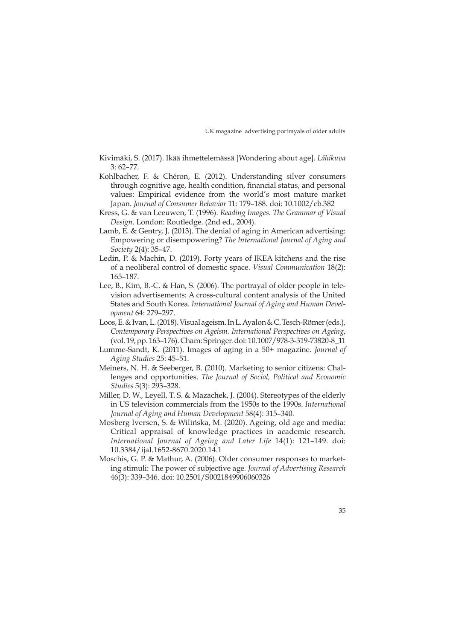- Kivimäki, S. (2017). Ikää ihmettelemässä [Wondering about age]. *Lähikuva* 3: 62–77.
- Kohlbacher, F. & Chéron, E. (2012). Understanding silver consumers through cognitive age, health condition, financial status, and personal values: Empirical evidence from the world's most mature market Japan. *Journal of Consumer Behavior* 11: 179–188. doi: 10.1002/cb.382
- Kress, G. & van Leeuwen, T. (1996). *Reading Images. The Grammar of Visual Design*. London: Routledge. (2nd ed., 2004).
- Lamb, E. & Gentry, J. (2013). The denial of aging in American advertising: Empowering or disempowering? *The International Journal of Aging and Society* 2(4): 35–47.
- Ledin, P. & Machin, D. (2019). Forty years of IKEA kitchens and the rise of a neoliberal control of domestic space. *Visual Communication* 18(2): 165–187.
- Lee, B., Kim, B.-C. & Han, S. (2006). The portrayal of older people in television advertisements: A cross-cultural content analysis of the United States and South Korea*. International Journal of Aging and Human Development* 64: 279–297.
- Loos, E. & Ivan, L. (2018). Visual ageism. In L. Ayalon & C. Tesch-Römer (eds.), *Contemporary Perspectives on Ageism. International Perspectives on Ageing*, (vol. 19, pp. 163–176). Cham: Springer. doi: 10.1007/978-3-319-73820-8\_11
- Lumme-Sandt, K. (2011). Images of aging in a 50+ magazine. *Journal of Aging Studies* 25: 45–51.
- Meiners, N. H. & Seeberger, B. (2010). Marketing to senior citizens: Challenges and opportunities. *The Journal of Social, Political and Economic Studies* 5(3): 293–328.
- Miller, D. W., Leyell, T. S. & Mazachek, J. (2004). Stereotypes of the elderly in US television commercials from the 1950s to the 1990s. *International Journal of Aging and Human Development* 58(4): 315–340.
- Mosberg Iversen, S. & Wilińska, M. (2020). Ageing, old age and media: Critical appraisal of knowledge practices in academic research. *International Journal of Ageing and Later Life* 14(1): 121–149. doi: 10.3384/ijal.1652-8670.2020.14.1
- Moschis, G. P. & Mathur, A. (2006). Older consumer responses to marketing stimuli: The power of subjective age. *Journal of Advertising Research* 46(3): 339–346. doi: 10.2501/S0021849906060326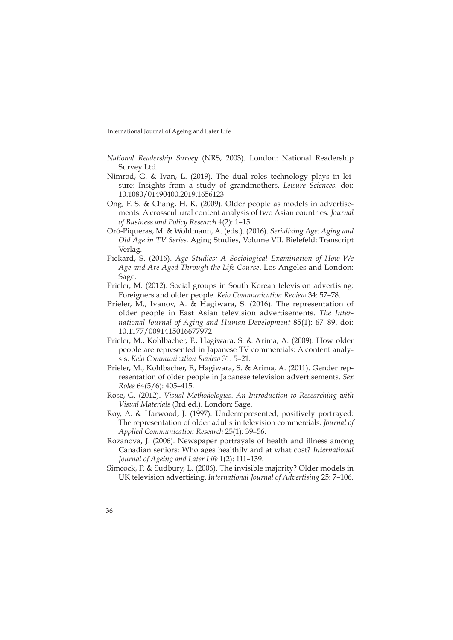- *National Readership Survey* (NRS, 2003). London: National Readership Survey Ltd.
- Nimrod, G. & Ivan, L. (2019). The dual roles technology plays in leisure: Insights from a study of grandmothers. *Leisure Sciences.* doi: 10.1080/01490400.2019.1656123
- Ong, F. S. & Chang, H. K. (2009). Older people as models in advertisements: A crosscultural content analysis of two Asian countries. *Journal of Business and Policy Research* 4(2): 1–15.
- Oró-Piqueras, M. & Wohlmann, A. (eds.). (2016). *Serializing Age: Aging and Old Age in TV Series.* Aging Studies, Volume VII. Bielefeld: Transcript Verlag.
- Pickard, S. (2016). *Age Studies: A Sociological Examination of How We Age and Are Aged Through the Life Course*. Los Angeles and London: Sage.
- Prieler, M. (2012). Social groups in South Korean television advertising: Foreigners and older people. *Keio Communication Review* 34: 57–78.
- Prieler, M., Ivanov, A. & Hagiwara, S. (2016). The representation of older people in East Asian television advertisements. *The International Journal of Aging and Human Development* 85(1): 67–89. doi: 10.1177/0091415016677972
- Prieler, M., Kohlbacher, F., Hagiwara, S. & Arima, A. (2009). How older people are represented in Japanese TV commercials: A content analysis. *Keio Communication Review* 31: 5–21.
- Prieler, M., Kohlbacher, F., Hagiwara, S. & Arima, A. (2011). Gender representation of older people in Japanese television advertisements. *Sex Roles* 64(5/6): 405–415.
- Rose, G. (2012). *Visual Methodologies. An Introduction to Researching with Visual Materials* (3rd ed.). London: Sage.
- Roy, A. & Harwood, J. (1997). Underrepresented, positively portrayed: The representation of older adults in television commercials. *Journal of Applied Communication Research* 25(1): 39–56.
- Rozanova, J. (2006). Newspaper portrayals of health and illness among Canadian seniors: Who ages healthily and at what cost? *International Journal of Ageing and Later Life* 1(2): 111–139.
- Simcock, P. & Sudbury, L. (2006). The invisible majority? Older models in UK television advertising. *International Journal of Advertising* 25: 7–106.
- 36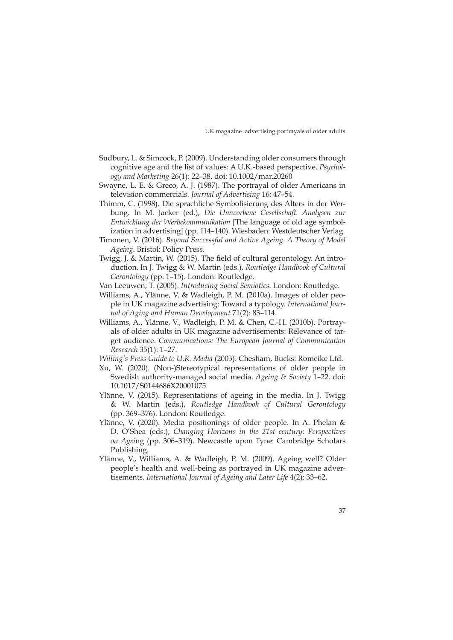- Sudbury, L. & Simcock, P. (2009). Understanding older consumers through cognitive age and the list of values: A U.K.-based perspective. *Psychology and Marketing* 26(1): 22–38. doi: 10.1002/mar.20260
- Swayne, L. E. & Greco, A. J. (1987). The portrayal of older Americans in television commercials. *Journal of Advertising* 16: 47–54.
- Thimm, C. (1998). Die sprachliche Symbolisierung des Alters in der Werbung. In M. Jacker (ed.), *Die Umworbene Gesellschaft. Analysen zur Entwicklung der Werbekommunikation* [The language of old age symbolization in advertising] (pp. 114–140). Wiesbaden: Westdeutscher Verlag.
- Timonen, V. (2016). *Beyond Successful and Active Ageing. A Theory of Model Ageing*. Bristol: Policy Press.
- Twigg, J. & Martin, W. (2015). The field of cultural gerontology. An introduction. In J. Twigg & W. Martin (eds.), *Routledge Handbook of Cultural Gerontology* (pp. 1–15). London: Routledge.
- Van Leeuwen, T. (2005). *Introducing Social Semiotics*. London: Routledge.
- Williams, A., Ylänne, V. & Wadleigh, P. M. (2010a). Images of older people in UK magazine advertising: Toward a typology. *International Journal of Aging and Human Development* 71(2): 83–114.
- Williams, A., Ylänne, V., Wadleigh, P. M. & Chen, C.-H. (2010b). Portrayals of older adults in UK magazine advertisements: Relevance of target audience. *Communications: The European Journal of Communication Research* 35(1): 1–27.
- *Willing's Press Guide to U.K. Media* (2003). Chesham, Bucks: Romeike Ltd.
- Xu, W. (2020). (Non-)Stereotypical representations of older people in Swedish authority-managed social media. *Ageing & Society* 1–22. doi: 10.1017/S0144686X20001075
- Ylänne, V. (2015). Representations of ageing in the media. In J. Twigg & W. Martin (eds.), *Routledge Handbook of Cultural Gerontology* (pp. 369–376). London: Routledge.
- Ylänne, V. (2020). Media positionings of older people. In A. Phelan & D. O'Shea (eds.), *Changing Horizons in the 21st century: Perspectives on Agei*ng (pp. 306–319). Newcastle upon Tyne: Cambridge Scholars Publishing.
- Ylänne, V., Williams, A. & Wadleigh, P. M. (2009). Ageing well? Older people's health and well-being as portrayed in UK magazine advertisements. *International Journal of Ageing and Later Life* 4(2): 33–62.